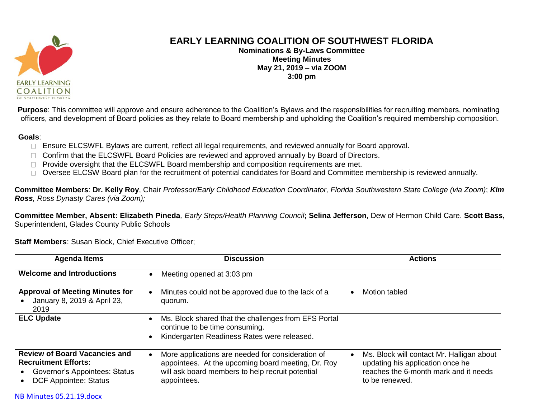

## **EARLY LEARNING COALITION OF SOUTHWEST FLORIDA**

**Nominations & By-Laws Committee Meeting Minutes May 21, 2019 – via ZOOM 3:00 pm**

**Purpose**: This committee will approve and ensure adherence to the Coalition's Bylaws and the responsibilities for recruiting members, nominating officers, and development of Board policies as they relate to Board membership and upholding the Coalition's required membership composition.

## **Goals**:

- □ Ensure ELCSWFL Bylaws are current, reflect all legal requirements, and reviewed annually for Board approval.
- □ Confirm that the ELCSWFL Board Policies are reviewed and approved annually by Board of Directors.
- □ Provide oversight that the ELCSWFL Board membership and composition requirements are met.
- Oversee ELCSW Board plan for the recruitment of potential candidates for Board and Committee membership is reviewed annually.  $\Box$

**Committee Members**: **Dr. Kelly Roy**, Chair *Professor/Early Childhood Education Coordinator, Florida Southwestern State College (via Zoom)*; *Kim Ross, Ross Dynasty Cares (via Zoom);*

**Committee Member, Absent: Elizabeth Pineda***, Early Steps/Health Planning Council***; Selina Jefferson**, Dew of Hermon Child Care. **Scott Bass,**  Superintendent, Glades County Public Schools

**Staff Members**: Susan Block, Chief Executive Officer;

| <b>Agenda Items</b>                                                                                                                  | <b>Discussion</b>                                                                                                                                                          | <b>Actions</b>                                                                                                                           |
|--------------------------------------------------------------------------------------------------------------------------------------|----------------------------------------------------------------------------------------------------------------------------------------------------------------------------|------------------------------------------------------------------------------------------------------------------------------------------|
| <b>Welcome and Introductions</b>                                                                                                     | Meeting opened at 3:03 pm                                                                                                                                                  |                                                                                                                                          |
| <b>Approval of Meeting Minutes for</b><br>January 8, 2019 & April 23,<br>2019                                                        | Minutes could not be approved due to the lack of a<br>quorum.                                                                                                              | Motion tabled                                                                                                                            |
| <b>ELC Update</b>                                                                                                                    | Ms. Block shared that the challenges from EFS Portal<br>continue to be time consuming.<br>Kindergarten Readiness Rates were released.                                      |                                                                                                                                          |
| <b>Review of Board Vacancies and</b><br><b>Recruitment Efforts:</b><br>Governor's Appointees: Status<br><b>DCF Appointee: Status</b> | More applications are needed for consideration of<br>appointees. At the upcoming board meeting, Dr. Roy<br>will ask board members to help recruit potential<br>appointees. | Ms. Block will contact Mr. Halligan about<br>updating his application once he<br>reaches the 6-month mark and it needs<br>to be renewed. |